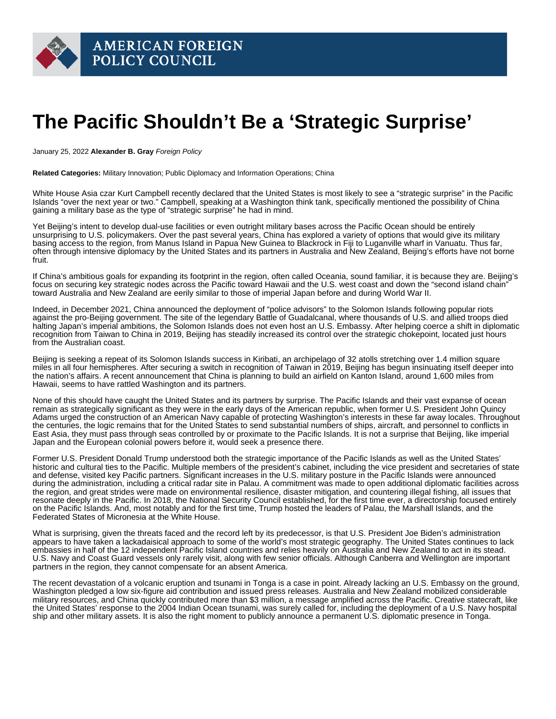## The Pacific Shouldn't Be a 'Strategic Surprise'

January 25, 2022 Alexander B. Gray Foreign Policy

Related Categories: Military Innovation; Public Diplomacy and Information Operations; China

White House Asia czar Kurt Campbell recently declared that the United States is most likely to see a ["strategic surprise"](https://www.reuters.com/world/asia-pacific/us-most-likely-see-strategic-surprise-pacific-official-2022-01-10/) in the Pacific Islands "over the next year or two." Campbell, speaking at a Washington think tank, specifically mentioned the possibility of China gaining a military base as the type of "strategic surprise" he had in mind.

Yet Beijing's intent to develop dual-use facilities or even outright military bases across the Pacific Ocean should be entirely unsurprising to U.S. policymakers. Over the past several years, China has explored a variety of options that would give its military basing access to the region, from Manus Island in Papua New Guinea to Blackrock in Fiji to Luganville wharf in Vanuatu. Thus far, often through intensive diplomacy by the United States and its partners in Australia and New Zealand, Beijing's efforts have not borne fruit.

If China's ambitious goals for expanding its footprint in the region, often called Oceania, sound familiar, it is because they are. Beijing's focus on securing key strategic nodes across the Pacific toward Hawaii and the U.S. west coast and down the "second island chain" toward Australia and New Zealand are eerily similar to those of imperial Japan before and during World War II.

Indeed, in December 2021, China announced the deployment of ["police advisors"](https://www.trtworld.com/asia/china-to-dispatch-police-advisors-riot-gear-to-solomon-islands-52949) to the Solomon Islands following popular riots against the pro-Beijing government. The site of the legendary Battle of Guadalcanal, where thousands of U.S. and allied troops died halting Japan's imperial ambitions, the Solomon Islands does not even host an U.S. Embassy. After helping coerce a shift in [diplomatic](https://www.dw.com/en/solomon-islands-switches-recognition-from-taiwan-to-china/a-50453667)  [recognition](https://www.dw.com/en/solomon-islands-switches-recognition-from-taiwan-to-china/a-50453667) from Taiwan to China in 2019, Beijing has steadily increased its control over the strategic chokepoint, located just hours from the Australian coast.

Beijing is seeking a repeat of its Solomon Islands success in Kiribati, an archipelago of 32 atolls stretching over 1.4 million square miles in all four hemispheres. After securing a [switch in recognition](https://www.theguardian.com/world/2019/sep/20/taiwan-loses-second-ally-in-a-week-as-kiribati-switches-to-china) of Taiwan in 2019, Beijing has begun insinuating itself deeper into the nation's affairs. A recent announcement that China is planning to build an airfield on Kanton Island, around 1,600 miles from Hawaii, seems to have rattled Washington and its partners.

None of this should have caught the United States and its partners by surprise. The Pacific Islands and their vast expanse of ocean remain as strategically significant as they were in the early days of the American republic, when former U.S. President John Quincy Adams urged the construction of an American Navy capable of protecting Washington's interests in these far away locales. Throughout the centuries, the logic remains that for the United States to send substantial numbers of ships, aircraft, and personnel to conflicts in East Asia, they must pass through seas controlled by or proximate to the Pacific Islands. It is not a surprise that Beijing, like imperial Japan and the European colonial powers before it, would seek a presence there.

Former U.S. President Donald Trump understood both the strategic importance of the Pacific Islands as well as the United States' historic and cultural ties to the Pacific. Multiple members of the president's cabinet, including the vice president and secretaries of state and defense, visited key Pacific partners. Significant increases in the U.S. military posture in the Pacific Islands were announced during the administration, including a critical radar site in Palau. A commitment was made to open additional diplomatic facilities across the region, and great strides were made on environmental resilience, disaster mitigation, and countering illegal fishing, all issues that resonate deeply in the Pacific. In 2018, the National Security Council established, for the first time ever, a directorship focused entirely on the Pacific Islands. And, most notably and for the first time, Trump hosted the leaders of Palau, the Marshall Islands, and the Federated States of Micronesia at the White House.

What is surprising, given the threats faced and the record left by its predecessor, is that U.S. President Joe Biden's administration appears to have taken a lackadaisical approach to some of the world's most strategic geography. The United States continues to lack embassies in half of the 12 independent Pacific Island countries and relies heavily on Australia and New Zealand to act in its stead. U.S. Navy and Coast Guard vessels only rarely visit, along with few senior officials. Although Canberra and Wellington are important partners in the region, they cannot compensate for an absent America.

The recent [devastation](https://news.un.org/en/story/2022/01/1110162) of a volcanic eruption and tsunami in Tonga is a case in point. Already lacking an U.S. Embassy on the ground, Washington pledged a low [six-figure aid contribution](https://www.stripes.com/theaters/asia_pacific/2022-01-19/tonga-volcano-eruption-tsunami-us-emergency-aid-4352117.html) and issued press releases. Australia and New Zealand mobilized considerable military resources, and China quickly contributed more than [\\$3 million](https://abcnews.go.com/International/wireStory/japanese-planes-fly-aid-tonga-volcanic-blast-82435200), a message amplified across the Pacific. Creative statecraft, like the United States' response to the 2004 Indian Ocean tsunami, was surely called for, including the deployment of a U.S. Navy hospital ship and other military assets. It is also the right moment to publicly announce a permanent U.S. diplomatic presence in Tonga.